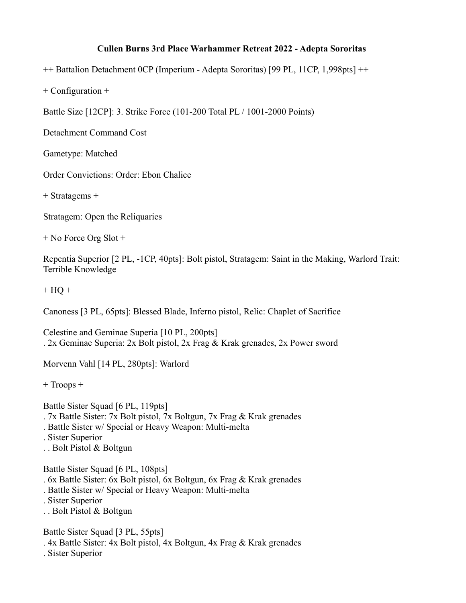## **Cullen Burns 3rd Place Warhammer Retreat 2022 - Adepta Sororitas**

++ Battalion Detachment 0CP (Imperium - Adepta Sororitas) [99 PL, 11CP, 1,998pts] ++

+ Configuration +

Battle Size [12CP]: 3. Strike Force (101-200 Total PL / 1001-2000 Points)

Detachment Command Cost

Gametype: Matched

Order Convictions: Order: Ebon Chalice

+ Stratagems +

Stratagem: Open the Reliquaries

+ No Force Org Slot +

Repentia Superior [2 PL, -1CP, 40pts]: Bolt pistol, Stratagem: Saint in the Making, Warlord Trait: Terrible Knowledge

 $+$  HQ  $+$ 

Canoness [3 PL, 65pts]: Blessed Blade, Inferno pistol, Relic: Chaplet of Sacrifice

Celestine and Geminae Superia [10 PL, 200pts] . 2x Geminae Superia: 2x Bolt pistol, 2x Frag & Krak grenades, 2x Power sword

Morvenn Vahl [14 PL, 280pts]: Warlord

+ Troops +

Battle Sister Squad [6 PL, 119pts]

- . 7x Battle Sister: 7x Bolt pistol, 7x Boltgun, 7x Frag & Krak grenades
- . Battle Sister w/ Special or Heavy Weapon: Multi-melta
- . Sister Superior
- . . Bolt Pistol & Boltgun

Battle Sister Squad [6 PL, 108pts]

- . 6x Battle Sister: 6x Bolt pistol, 6x Boltgun, 6x Frag & Krak grenades
- . Battle Sister w/ Special or Heavy Weapon: Multi-melta
- . Sister Superior
- . . Bolt Pistol & Boltgun

Battle Sister Squad [3 PL, 55pts]

. 4x Battle Sister: 4x Bolt pistol, 4x Boltgun, 4x Frag & Krak grenades

. Sister Superior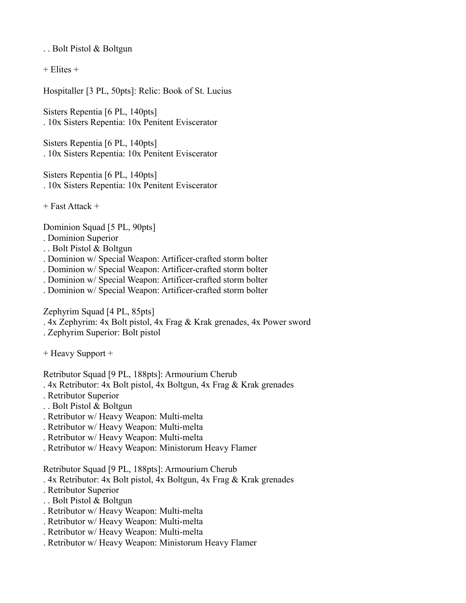. . Bolt Pistol & Boltgun

 $+$  Elites  $+$ 

Hospitaller [3 PL, 50pts]: Relic: Book of St. Lucius

Sisters Repentia [6 PL, 140pts] . 10x Sisters Repentia: 10x Penitent Eviscerator

Sisters Repentia [6 PL, 140pts] . 10x Sisters Repentia: 10x Penitent Eviscerator

Sisters Repentia [6 PL, 140pts] . 10x Sisters Repentia: 10x Penitent Eviscerator

+ Fast Attack +

Dominion Squad [5 PL, 90pts]

. Dominion Superior

- . . Bolt Pistol & Boltgun
- . Dominion w/ Special Weapon: Artificer-crafted storm bolter
- . Dominion w/ Special Weapon: Artificer-crafted storm bolter
- . Dominion w/ Special Weapon: Artificer-crafted storm bolter
- . Dominion w/ Special Weapon: Artificer-crafted storm bolter

Zephyrim Squad [4 PL, 85pts]

- . 4x Zephyrim: 4x Bolt pistol, 4x Frag & Krak grenades, 4x Power sword
- . Zephyrim Superior: Bolt pistol

+ Heavy Support +

Retributor Squad [9 PL, 188pts]: Armourium Cherub

- . 4x Retributor: 4x Bolt pistol, 4x Boltgun, 4x Frag & Krak grenades
- . Retributor Superior
- . . Bolt Pistol & Boltgun
- . Retributor w/ Heavy Weapon: Multi-melta
- . Retributor w/ Heavy Weapon: Multi-melta
- . Retributor w/ Heavy Weapon: Multi-melta
- . Retributor w/ Heavy Weapon: Ministorum Heavy Flamer

Retributor Squad [9 PL, 188pts]: Armourium Cherub

- . 4x Retributor: 4x Bolt pistol, 4x Boltgun, 4x Frag & Krak grenades
- . Retributor Superior
- . . Bolt Pistol & Boltgun
- . Retributor w/ Heavy Weapon: Multi-melta
- . Retributor w/ Heavy Weapon: Multi-melta
- . Retributor w/ Heavy Weapon: Multi-melta
- . Retributor w/ Heavy Weapon: Ministorum Heavy Flamer